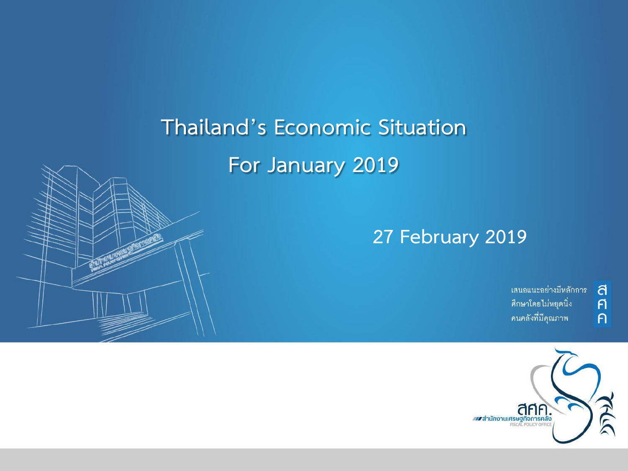# **Thailand's Economic Situation**

**For January 2019** 

### **27 February 2019**

เสนอแนะอย่างมีหลักการ ศึกษาโดยไม่หยุดนิ่ง คนคลังที่มีคุณภาพ

a  $\overline{p}$ 

 $\overline{P}$ 

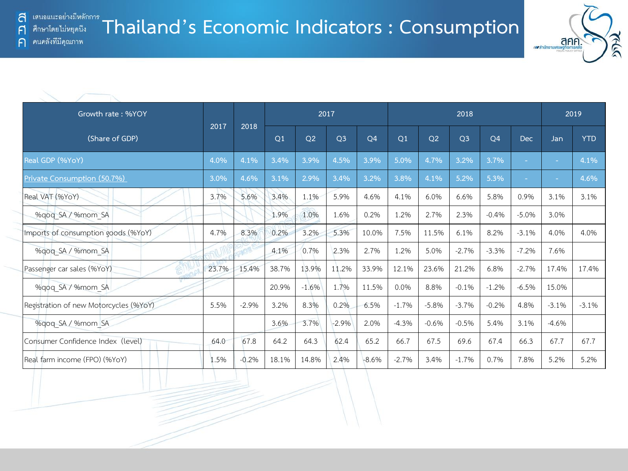F

 $\bigcap$ 



| Growth rate: %YOY                      |       |         |       | 2017    |                |                |         |         | 2018           |                |            |         | 2019       |
|----------------------------------------|-------|---------|-------|---------|----------------|----------------|---------|---------|----------------|----------------|------------|---------|------------|
| (Share of GDP)                         | 2017  | 2018    | Q1    | Q2      | Q <sub>3</sub> | Q <sub>4</sub> | Q1      | Q2      | Q <sub>3</sub> | Q <sub>4</sub> | <b>Dec</b> | Jan     | <b>YTD</b> |
| Real GDP (%YoY)                        | 4.0%  | 4.1%    | 3.4%  | 3.9%    | 4.5%           | 3.9%           | 5.0%    | 4.7%    | 3.2%           | 3.7%           |            | ٠       | 4.1%       |
| Private Consumption (50.7%)            | 3.0%  | 4.6%    | 3.1%  | 2.9%    | 3.4%           | 3.2%           | 3.8%    | 4.1%    | 5.2%           | 5.3%           |            | ٠       | 4.6%       |
| Real VAT (%YoY)                        | 3.7%  | 5.6%    | 3.4%  | 1.1%    | 5.9%           | 4.6%           | 4.1%    | 6.0%    | 6.6%           | 5.8%           | 0.9%       | 3.1%    | 3.1%       |
| %gog SA / %mom SA                      |       |         | 1.9%  | 1.0%    | 1.6%           | 0.2%           | 1.2%    | 2.7%    | 2.3%           | $-0.4%$        | $-5.0%$    | 3.0%    |            |
| Imports of consumption goods (%YoY)    | 4.7%  | 8.3%    | 0.2%  | 3.2%    | 5.3%           | 10.0%          | 7.5%    | 11.5%   | 6.1%           | 8.2%           | $-3.1%$    | 4.0%    | 4.0%       |
| %gog SA / %mom SA                      |       |         | 4.1%  | 0.7%    | 2.3%           | 2.7%           | 1.2%    | 5.0%    | $-2.7%$        | $-3.3%$        | $-7.2%$    | 7.6%    |            |
| Passenger car sales (%YoY)             | 23.7% | 15.4%   | 38.7% | 13.9%   | 11.2%          | 33.9%          | 12.1%   | 23.6%   | 21.2%          | 6.8%           | $-2.7%$    | 17.4%   | 17.4%      |
| %gog SA / %mom SA                      |       |         | 20.9% | $-1.6%$ | 1.7%           | 11.5%          | 0.0%    | 8.8%    | $-0.1%$        | $-1.2%$        | $-6.5%$    | 15.0%   |            |
| Registration of new Motorcycles (%YoY) | 5.5%  | $-2.9%$ | 3.2%  | 8.3%    | 0.2%           | 6.5%           | $-1.7%$ | $-5.8%$ | $-3.7%$        | $-0.2%$        | 4.8%       | $-3.1%$ | $-3.1%$    |
| %gog SA / %mom SA                      |       |         | 3.6%  | 3.7%    | $-2.9%$        | 2.0%           | $-4.3%$ | $-0.6%$ | $-0.5%$        | 5.4%           | 3.1%       | $-4.6%$ |            |
| Consumer Confidence Index (level)      | 64.0  | 67.8    | 64.2  | 64.3    | 62.4           | 65.2           | 66.7    | 67.5    | 69.6           | 67.4           | 66.3       | 67.7    | 67.7       |
| Real farm income (FPO) (%YoY)          | 1.5%  | $-0.2%$ | 18.1% | 14.8%   | 2.4%           | $-8.6%$        | $-2.7%$ | 3.4%    | $-1.7%$        | 0.7%           | 7.8%       | 5.2%    | 5.2%       |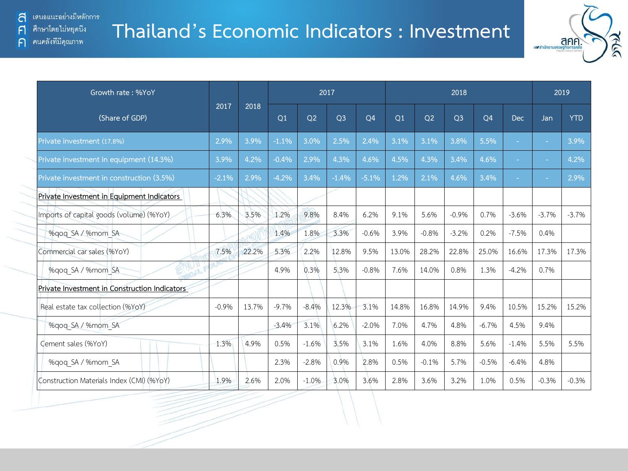

| Growth rate: %YoY                             | 2017    | 2018  |         |                | 2017           |                |       |         | 2018           |                |            | 2019    |
|-----------------------------------------------|---------|-------|---------|----------------|----------------|----------------|-------|---------|----------------|----------------|------------|---------|
| (Share of GDP)                                |         |       | Q1      | Q <sub>2</sub> | Q <sub>3</sub> | Q <sub>4</sub> | Q1    | Q2      | Q <sub>3</sub> | Q <sub>4</sub> | <b>Dec</b> | Jan     |
| Private investment (17.8%)                    | 2.9%    | 3.9%  | $-1.1%$ | 3.0%           | 2.5%           | 2.4%           | 3.1%  | 3.1%    | 3.8%           | 5.5%           |            |         |
| Private investment in equipment (14.3%)       | 3.9%    | 4.2%  | $-0.4%$ | 2.9%           | 4.3%           | 4.6%           | 4.5%  | 4.3%    | 3.4%           | 4.6%           |            |         |
| Private investment in construction (3.5%)     | $-2.1%$ | 2.9%  | $-4.2%$ | 3.4%           | $-1.4%$        | $-5.1%$        | 1.2%  | 2.1%    | 4.6%           | 3.4%           |            |         |
| Private Investment in Equipment Indicators    |         |       |         |                |                |                |       |         |                |                |            |         |
| Imports of capital goods (volume) (%YoY)      | 6.3%    | 3.5%  | 1.2%    | 9.8%           | 8.4%           | 6.2%           | 9.1%  | 5.6%    | $-0.9%$        | 0.7%           | $-3.6%$    | $-3.7%$ |
| %gog SA / %mom SA                             |         |       | 1.4%    | 1.8%           | 3.3%           | $-0.6%$        | 3.9%  | $-0.8%$ | $-3.2%$        | 0.2%           | $-7.5%$    | 0.4%    |
| Commercial car sales (%YoY)                   | 7.5%    | 22.2% | 5.3%    | 2.2%           | 12.8%          | 9.5%           | 13.0% | 28.2%   | 22.8%          | 25.0%          | 16.6%      | 17.3%   |
| %gog SA / %mom SA                             |         |       | 4.9%    | 0.3%           | 5.3%           | $-0.8%$        | 7.6%  | 14.0%   | 0.8%           | 1.3%           | $-4.2%$    | 0.7%    |
| Private Investment in Construction Indicators |         |       |         |                |                |                |       |         |                |                |            |         |
| Real estate tax collection (%YoY)             | $-0.9%$ | 13.7% | $-9.7%$ | $-8.4%$        | 12.3%          | 3.1%           | 14.8% | 16.8%   | 14.9%          | 9.4%           | 10.5%      | 15.2%   |
| %gog SA / %mom SA                             |         |       | $-3.4%$ | 3.1%           | 6.2%           | $-2.0%$        | 7.0%  | 4.7%    | 4.8%           | $-6.7%$        | 4.5%       | 9.4%    |
|                                               |         |       |         |                |                |                |       |         |                |                |            |         |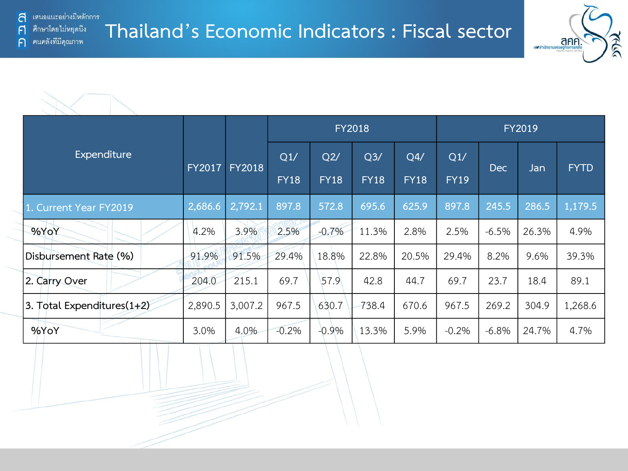คนคลังที่มีคุณภาพ

F

 $\bigcap$ 





|                               |               |               |                    |                    | <b>FY2018</b>                 | <b>FY2019</b>      |                    |            |       |             |  |
|-------------------------------|---------------|---------------|--------------------|--------------------|-------------------------------|--------------------|--------------------|------------|-------|-------------|--|
| Expenditure                   | <b>FY2017</b> | <b>FY2018</b> | Q1/<br><b>FY18</b> | Q2/<br><b>FY18</b> | Q <sub>3</sub><br><b>FY18</b> | Q4/<br><b>FY18</b> | Q1/<br><b>FY19</b> | <b>Dec</b> | Jan   | <b>FYTD</b> |  |
| 1. Current Year FY2019        | 2,686.6       | 2,792.1       | 897.8              | 572.8              | 695.6                         | 625.9              | 897.8              | 245.5      | 286.5 | 1,179.5     |  |
| %YoY                          | 4.2%          | 3.9%          | 2.5%               | $-0.7%$            | 11.3%                         | 2.8%               | 2.5%               | $-6.5%$    | 26.3% | 4.9%        |  |
| Disbursement Rate (%)         | 91.9%         | 91.5%         | 29.4%              | 18.8%              | 22.8%                         | 20.5%              | 29.4%              | 8.2%       | 9.6%  | 39.3%       |  |
| 2. Carry Over                 | 204.0         | 215.1         | 69.7               | 57.9               | 42.8                          | 44.7               | 69.7               | 23.7       | 18.4  | 89.1        |  |
| 3. Total Expenditures $(1+2)$ | 2,890.5       | 3,007.2       | 967.5              | 630.7              | 738.4                         | 670.6              | 967.5              | 269.2      | 304.9 | 1,268.6     |  |
| %YoY                          | 3.0%          | 4.0%          | $-0.2%$            | $-0.9%$            | 13.3%                         | 5.9%               | $-0.2%$            | $-6.8\%$   | 24.7% | 4.7%        |  |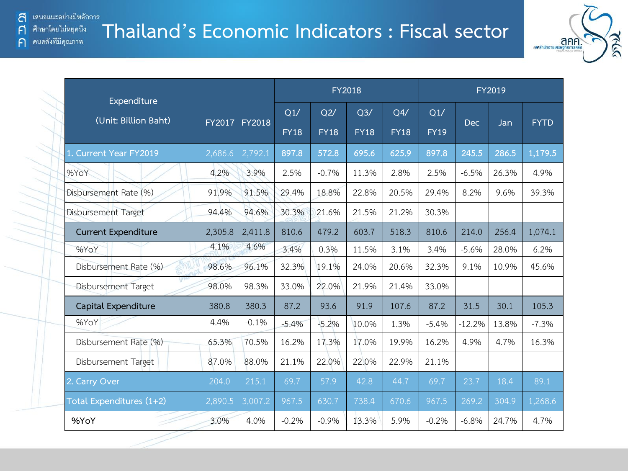คนคลังที่มีคุณภาพ

F

 $\bigcap$ 

### **Thailand's Economic Indicators : Fiscal sector**



| Expenditure                |         |         |                    |                    | <b>FY2018</b>      |                    |                    |            | FY2019     |             |
|----------------------------|---------|---------|--------------------|--------------------|--------------------|--------------------|--------------------|------------|------------|-------------|
| (Unit: Billion Baht)       | FY2017  | FY2018  | Q1/<br><b>FY18</b> | Q2/<br><b>FY18</b> | Q3/<br><b>FY18</b> | Q4/<br><b>FY18</b> | Q1/<br><b>FY19</b> | <b>Dec</b> | <b>Jan</b> | <b>FYTD</b> |
| 1. Current Year FY2019     | 2,686.6 | 2,792.1 | 897.8              | 572.8              | 695.6              | 625.9              | 897.8              | 245.5      | 286.5      | 1,179.5     |
| %YoY                       | 4.2%    | 3.9%    | 2.5%               | $-0.7%$            | 11.3%              | 2.8%               | 2.5%               | $-6.5%$    | 26.3%      | 4.9%        |
| Disbursement Rate (%)      | 91.9%   | 91.5%   | 29.4%              | 18.8%              | 22.8%              | 20.5%              | 29.4%              | 8.2%       | 9.6%       | 39.3%       |
| Disbursement Target        | 94.4%   | 94.6%   | 30.3%              | 21.6%              | 21.5%              | 21.2%              | 30.3%              |            |            |             |
| <b>Current Expenditure</b> | 2,305.8 | 2,411.8 | 810.6              | 479.2              | 603.7              | 518.3              | 810.6              | 214.0      | 256.4      | 1,074.1     |
| %YoY                       | 4.1%    | 4.6%    | 3.4%               | 0.3%               | 11.5%              | 3.1%               | 3.4%               | $-5.6%$    | 28.0%      | 6.2%        |
| Disbursement Rate (%)      | 98.6%   | 96.1%   | 32.3%              | 19.1%              | 24.0%              | 20.6%              | 32.3%              | 9.1%       | 10.9%      | 45.6%       |
| Disbursement Target        | 98.0%   | 98.3%   | 33.0%              | 22.0%              | 21.9%              | 21.4%              | 33.0%              |            |            |             |
| Capital Expenditure        | 380.8   | 380.3   | 87.2               | 93.6               | 91.9               | 107.6              | 87.2               | 31.5       | 30.1       | 105.3       |
| %YoY                       | 4.4%    | $-0.1%$ | $-5.4\%$           | $-5.2%$            | 10.0%              | 1.3%               | $-5.4%$            | $-12.2%$   | 13.8%      | $-7.3%$     |
| Disbursement Rate (%)      | 65.3%   | 70.5%   | 16.2%              | 17.3%              | 17.0%              | 19.9%              | 16.2%              | 4.9%       | 4.7%       | 16.3%       |
| Disbursement Target        | 87.0%   | 88.0%   | 21.1%              | 22.0%              | 22.0%              | 22.9%              | 21.1%              |            |            |             |
| 2. Carry Over              | 204.0   | 215.1   | 69.7               | 57.9               | 42.8               | 44.7               | 69.7               | 23.7       | 18.4       | 89.1        |
| Total Expenditures (1+2)   | 2,890.5 | 3,007.2 | 967.5              | 630.7              | 738.4              | 670.6              | 967.5              | 269.2      | 304.9      | 1,268.6     |
| %YoY                       | 3.0%    | 4.0%    | $-0.2%$            | $-0.9%$            | 13.3%              | 5.9%               | $-0.2%$            | $-6.8%$    | 24.7%      | 4.7%        |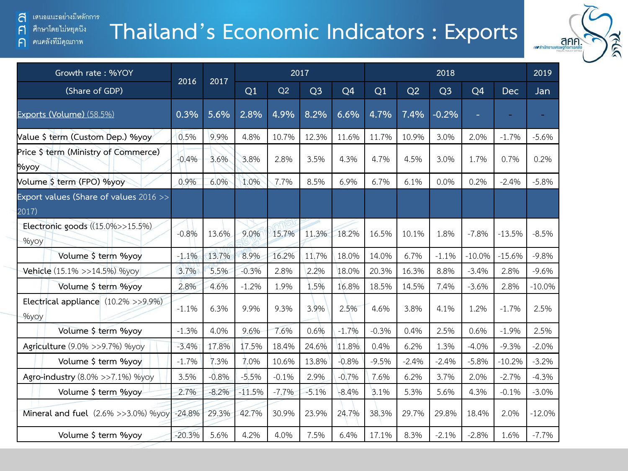#### เสนอแนะอย่างมีหลักการ **Thailand's Economic Indicators : Exports**ศึกษาโดยไม่หยุดนึง

a

 $\mathsf{F}$ 

 $\bigcap$ 

คนคลังที่มีคุณภาพ



| Growth rate: %YOY                               | 2016     |         |          |         | 2017           |         |         |         | 2018           |                          |            | 2019     |
|-------------------------------------------------|----------|---------|----------|---------|----------------|---------|---------|---------|----------------|--------------------------|------------|----------|
| (Share of GDP)                                  |          | 2017    | Q1       | Q2      | Q <sub>3</sub> | Q4      | Q1      | Q2      | Q <sub>3</sub> | Q <sub>4</sub>           | <b>Dec</b> | Jan      |
| Exports (Volume) (58.5%)                        | 0.3%     | 5.6%    | 2.8%     | 4.9%    | 8.2%           | 6.6%    | 4.7%    | 7.4%    | $-0.2%$        | $\overline{\phantom{a}}$ |            |          |
| Value \$ term (Custom Dep.) %yoy                | 0.5%     | 9.9%    | 4.8%     | 10.7%   | 12.3%          | 11.6%   | 11.7%   | 10.9%   | 3.0%           | 2.0%                     | $-1.7%$    | $-5.6%$  |
| Price \$ term (Ministry of Commerce)<br>%yoy    | $-0.4%$  | 3.6%    | 3.8%     | 2.8%    | 3.5%           | 4.3%    | 4.7%    | 4.5%    | 3.0%           | 1.7%                     | 0.7%       | 0.2%     |
| Volume \$ term (FPO) %yoy                       | 0.9%     | 6.0%    | 1.0%     | 7.7%    | 8.5%           | 6.9%    | 6.7%    | 6.1%    | 0.0%           | 0.2%                     | $-2.4%$    | $-5.8%$  |
| Export values (Share of values 2016 >><br>2017) |          |         |          |         |                |         |         |         |                |                          |            |          |
| Electronic goods ((15.0%>>15.5%)<br>%yoy        | $-0.8%$  | 13.6%   | 9.0%     | 15.7%   | 11.3%          | 18.2%   | 16.5%   | 10.1%   | 1.8%           | $-7.8%$                  | $-13.5%$   | $-8.5%$  |
| Volume \$ term %yoy                             | $-1.1%$  | 13.7%   | 8.9%     | 16.2%   | 11.7%          | 18.0%   | 14.0%   | 6.7%    | $-1.1%$        | $-10.0%$                 | $-15.6%$   | $-9.8%$  |
| Vehicle (15.1% >>14.5%) %yoy                    | 3.7%     | 5.5%    | $-0.3%$  | 2.8%    | 2.2%           | 18.0%   | 20.3%   | 16.3%   | 8.8%           | $-3.4%$                  | 2.8%       | $-9.6%$  |
| Volume \$ term %yoy                             | 2.8%     | 4.6%    | $-1.2%$  | 1.9%    | 1.5%           | 16.8%   | 18.5%   | 14.5%   | 7.4%           | $-3.6%$                  | 2.8%       | $-10.0%$ |
| Electrical appliance (10.2% >>9.9%)<br>$96$ yoy | $-1.1%$  | 6.3%    | 9.9%     | 9.3%    | 3.9%           | 2.5%    | 4.6%    | 3.8%    | 4.1%           | 1.2%                     | $-1.7%$    | 2.5%     |
| Volume \$ term %yoy                             | $-1.3%$  | 4.0%    | 9.6%     | 7.6%    | 0.6%           | $-1.7%$ | $-0.3%$ | 0.4%    | 2.5%           | 0.6%                     | $-1.9%$    | 2.5%     |
| Agriculture (9.0% >>9.7%) %yoy                  | $-3.4%$  | 17.8%   | 17.5%    | 18.4%   | 24.6%          | 11.8%   | 0.4%    | 6.2%    | 1.3%           | $-4.0%$                  | $-9.3%$    | $-2.0%$  |
| Volume \$ term %yoy                             | $-1.7%$  | 7.3%    | 7.0%     | 10.6%   | 13.8%          | $-0.8%$ | $-9.5%$ | $-2.4%$ | $-2.4%$        | $-5.8%$                  | $-10.2%$   | $-3.2%$  |
| Agro-industry (8.0% >>7.1%) %yoy                | 3.5%     | $-0.8%$ | $-5.5%$  | $-0.1%$ | 2.9%           | $-0.7%$ | 7.6%    | 6.2%    | 3.7%           | 2.0%                     | $-2.7%$    | $-4.3%$  |
| Volume \$ term %yoy                             | 2.7%     | $-8.2%$ | $-11.5%$ | $-7.7%$ | $-5.1%$        | $-8.4%$ | 3.1%    | 5.3%    | 5.6%           | 4.3%                     | $-0.1%$    | $-3.0%$  |
| Mineral and fuel (2.6% >>3.0%) %yoy             | $-24.8%$ | 29.3%   | 42.7%    | 30.9%   | 23.9%          | 24.7%   | 38.3%   | 29.7%   | 29.8%          | 18.4%                    | 2.0%       | $-12.0%$ |
| Volume \$ term %yoy                             | $-20.3%$ | 5.6%    | 4.2%     | 4.0%    | 7.5%           | 6.4%    | 17.1%   | 8.3%    | $-2.1%$        | $-2.8%$                  | 1.6%       | $-7.7%$  |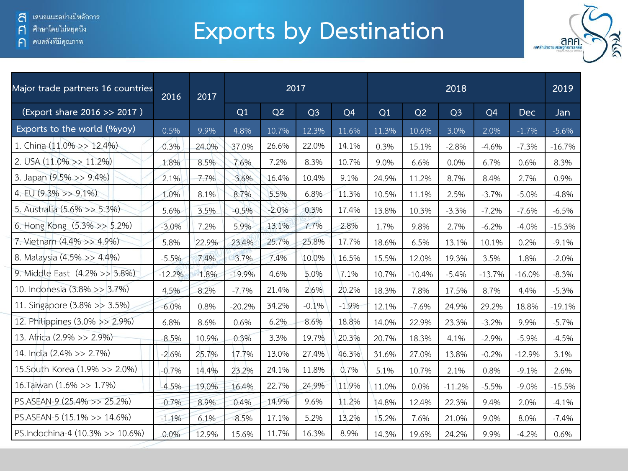์ คนคลังที่มีคุณภาพ  $\bigcap$ 

# **Exports by Destination**



| Major trade partners 16 countries | 2016     | 2017    |          |         | 2017           |         |       |          | 2018           |                |            | 2019     |
|-----------------------------------|----------|---------|----------|---------|----------------|---------|-------|----------|----------------|----------------|------------|----------|
| (Export share 2016 >> 2017)       |          |         | Q1       | Q2      | Q <sub>3</sub> | Q4      | Q1    | Q2       | Q <sub>3</sub> | Q <sub>4</sub> | <b>Dec</b> | Jan      |
| Exports to the world (%yoy)       | 0.5%     | 9.9%    | 4.8%     | 10.7%   | 12.3%          | 11.6%   | 11.3% | 10.6%    | 3.0%           | 2.0%           | $-1.7%$    | $-5.6%$  |
| 1. China (11.0% >> 12.4%)         | 0.3%     | 24.0%   | 37.0%    | 26.6%   | 22.0%          | 14.1%   | 0.3%  | 15.1%    | $-2.8%$        | $-4.6%$        | $-7.3%$    | $-16.7%$ |
| 2. USA $(11.0\% >> 11.2\%)$       | 1.8%     | 8.5%    | 7.6%     | 7.2%    | 8.3%           | 10.7%   | 9.0%  | 6.6%     | 0.0%           | 6.7%           | 0.6%       | 8.3%     |
| 3. Japan (9.5% >> 9.4%)           | 2.1%     | 7.7%    | $-3.6%$  | 16.4%   | 10.4%          | 9.1%    | 24.9% | 11.2%    | 8.7%           | 8.4%           | 2.7%       | 0.9%     |
| 4. EU $(9.3\% >> 9.1\%)$          | 1.0%     | 8.1%    | 8.7%     | 5.5%    | 6.8%           | 11.3%   | 10.5% | 11.1%    | 2.5%           | $-3.7%$        | $-5.0%$    | $-4.8%$  |
| 5. Australia (5.6% >> 5.3%)       | 5.6%     | 3.5%    | $-0.5%$  | $-2.0%$ | 0.3%           | 17.4%   | 13.8% | 10.3%    | $-3.3%$        | $-7.2%$        | $-7.6%$    | $-6.5%$  |
| 6. Hong Kong (5.3% >> 5.2%)       | $-3.0%$  | 7.2%    | 5.9%     | 13.1%   | 7.7%           | 2.8%    | 1.7%  | 9.8%     | 2.7%           | $-6.2%$        | $-4.0%$    | $-15.3%$ |
| 7. Vietnam (4.4% >> 4.9%)         | 5.8%     | 22.9%   | 23.4%    | 25.7%   | 25.8%          | 17.7%   | 18.6% | 6.5%     | 13.1%          | 10.1%          | 0.2%       | $-9.1%$  |
| 8. Malaysia (4.5% >> 4.4%)        | $-5.5%$  | 7.4%    | $-3.7%$  | 7.4%    | 10.0%          | 16.5%   | 15.5% | 12.0%    | 19.3%          | 3.5%           | 1.8%       | $-2.0%$  |
| 9. Middle East (4.2% >> 3.8%)     | $-12.2%$ | $-1.8%$ | $-19.9%$ | 4.6%    | 5.0%           | 7.1%    | 10.7% | $-10.4%$ | $-5.4%$        | $-13.7%$       | $-16.0%$   | $-8.3%$  |
| 10. Indonesia (3.8% >> 3.7%)      | 4.5%     | 8.2%    | $-7.7%$  | 21.4%   | 2.6%           | 20.2%   | 18.3% | 7.8%     | 17.5%          | 8.7%           | 4.4%       | $-5.3%$  |
| 11. Singapore (3.8% >> 3.5%)      | $-6.0\%$ | 0.8%    | $-20.2%$ | 34.2%   | $-0.1%$        | $-1.9%$ | 12.1% | $-7.6%$  | 24.9%          | 29.2%          | 18.8%      | $-19.1%$ |
| 12. Philippines (3.0% >> 2.9%)    | 6.8%     | 8.6%    | 0.6%     | 6.2%    | 8.6%           | 18.8%   | 14.0% | 22.9%    | 23.3%          | $-3.2%$        | 9.9%       | $-5.7%$  |
| 13. Africa (2.9% >> 2.9%)         | $-8.5%$  | 10.9%   | 0.3%     | 3.3%    | 19.7%          | 20.3%   | 20.7% | 18.3%    | 4.1%           | $-2.9%$        | $-5.9%$    | $-4.5%$  |
| 14. India (2.4% >> 2.7%)          | $-2.6%$  | 25.7%   | 17.7%    | 13.0%   | 27.4%          | 46.3%   | 31.6% | 27.0%    | 13.8%          | $-0.2%$        | $-12.9%$   | 3.1%     |
| 15. South Korea (1.9% >> 2.0%)    | $-0.7%$  | 14.4%   | 23.2%    | 24.1%   | 11.8%          | 0.7%    | 5.1%  | 10.7%    | 2.1%           | 0.8%           | $-9.1%$    | 2.6%     |
| 16. Taiwan (1.6% >> 1.7%)         | $-4.5%$  | 19.0%   | 16.4%    | 22.7%   | 24.9%          | 11.9%   | 11.0% | 0.0%     | $-11.2%$       | $-5.5%$        | $-9.0%$    | $-15.5%$ |
| PS.ASEAN-9 (25.4% >> 25.2%)       | $-0.7%$  | 8.9%    | 0.4%     | 14.9%   | 9.6%           | 11.2%   | 14.8% | 12.4%    | 22.3%          | 9.4%           | 2.0%       | $-4.1%$  |
| PS.ASEAN-5 (15.1% >> 14.6%)       | $-1.1%$  | 6.1%    | $-8.5%$  | 17.1%   | 5.2%           | 13.2%   | 15.2% | 7.6%     | 21.0%          | 9.0%           | 8.0%       | $-7.4%$  |
| PS.Indochina-4 (10.3% >> 10.6%)   | 0.0%     | 12.9%   | 15.6%    | 11.7%   | 16.3%          | 8.9%    | 14.3% | 19.6%    | 24.2%          | 9.9%           | $-4.2%$    | 0.6%     |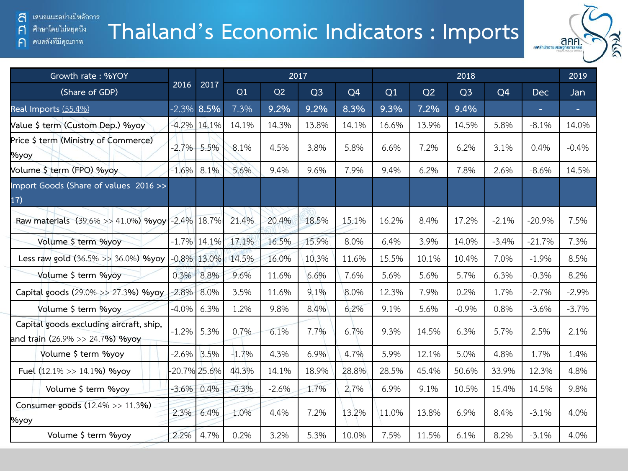คนคลังที่มีคุณภาพ

 $\mathsf{F}$ 

 $\bigcap$ 

## **Thailand's Economic Indicators : Imports**



| Growth rate: %YOY                                                          |          |                |         |         | 2017           |                |       |       | 2018           |         |            | 2019    |
|----------------------------------------------------------------------------|----------|----------------|---------|---------|----------------|----------------|-------|-------|----------------|---------|------------|---------|
| (Share of GDP)                                                             | 2016     | 2017           | Q1      | Q2      | Q <sub>3</sub> | Q <sub>4</sub> | Q1    | Q2    | Q <sub>3</sub> | Q4      | <b>Dec</b> | Jan     |
| Real Imports (55.4%)                                                       |          | $-2.3\%$ 8.5%  | 7.3%    | 9.2%    | 9.2%           | 8.3%           | 9.3%  | 7.2%  | 9.4%           |         | ٠          | ÷       |
| Value \$ term (Custom Dep.) %yoy                                           |          | $-4.2\%$ 14.1% | 14.1%   | 14.3%   | 13.8%          | 14.1%          | 16.6% | 13.9% | 14.5%          | 5.8%    | $-8.1%$    | 14.0%   |
| Price \$ term (Ministry of Commerce)<br><b>Myoy</b>                        | $-2.7\%$ | 5.5%           | 8.1%    | 4.5%    | 3.8%           | 5.8%           | 6.6%  | 7.2%  | 6.2%           | 3.1%    | 0.4%       | $-0.4%$ |
| Volume \$ term (FPO) %yoy                                                  | $-1.6%$  | 8.1%           | 5.6%    | 9.4%    | 9.6%           | 7.9%           | 9.4%  | 6.2%  | 7.8%           | 2.6%    | $-8.6%$    | 14.5%   |
| Import Goods (Share of values 2016 >><br>17)                               |          |                |         |         |                |                |       |       |                |         |            |         |
| Raw materials (39.6% >> 41.0%) %yoy                                        |          | $-2.4\%$ 18.7% | 21.4%   | 20.4%   | 18.5%          | 15.1%          | 16.2% | 8.4%  | 17.2%          | $-2.1%$ | $-20.9%$   | 7.5%    |
| Volume \$ term %yoy                                                        |          | $-1.7\%$ 14.1% | 17.1%   | 16.5%   | 15.9%          | 8.0%           | 6.4%  | 3.9%  | 14.0%          | $-3.4%$ | $-21.7%$   | 7.3%    |
| Less raw gold (36.5% >> 36.0%) %yoy                                        |          | $-0.8\%$ 13.0% | 14.5%   | 16.0%   | 10.3%          | 11.6%          | 15.5% | 10.1% | 10.4%          | 7.0%    | $-1.9%$    | 8.5%    |
| Volume \$ term %yoy                                                        | 0.3%     | 8.8%           | 9.6%    | 11.6%   | 6.6%           | 7.6%           | 5.6%  | 5.6%  | 5.7%           | 6.3%    | $-0.3%$    | 8.2%    |
| Capital goods (29.0% >> 27.3%) %yoy                                        | $-2.8%$  | 8.0%           | 3.5%    | 11.6%   | 9.1%           | 8.0%           | 12.3% | 7.9%  | 0.2%           | 1.7%    | $-2.7%$    | $-2.9%$ |
| Volume \$ term %yoy                                                        | $-4.0%$  | 6.3%           | 1.2%    | 9.8%    | 8.4%           | 6.2%           | 9.1%  | 5.6%  | $-0.9%$        | 0.8%    | $-3.6%$    | $-3.7%$ |
| Capital goods excluding aircraft, ship,<br>and train (26.9% >> 24.7%) %yoy | $-1.2%$  | 5.3%           | 0.7%    | 6.1%    | 7.7%           | 6.7%           | 9.3%  | 14.5% | 6.3%           | 5.7%    | 2.5%       | 2.1%    |
| Volume \$ term %yoy                                                        | $-2.6%$  | 3.5%           | $-1.7%$ | 4.3%    | 6.9%           | 4.7%           | 5.9%  | 12.1% | 5.0%           | 4.8%    | 1.7%       | 1.4%    |
| Fuel $(12.1\% >> 14.1\%)$ %yoy                                             |          | -20.7% 25.6%   | 44.3%   | 14.1%   | 18.9%          | 28.8%          | 28.5% | 45.4% | 50.6%          | 33.9%   | 12.3%      | 4.8%    |
| Volume \$ term %yoy                                                        |          | $-3.6\%$ 0.4%  | $-0.3%$ | $-2.6%$ | 1.7%           | 2.7%           | 6.9%  | 9.1%  | 10.5%          | 15.4%   | 14.5%      | 9.8%    |
| Consumer goods (12.4% >> 11.3%)<br>Myoy                                    | 2.3%     | 6.4%           | 1.0%    | 4.4%    | 7.2%           | 13.2%          | 11.0% | 13.8% | 6.9%           | 8.4%    | $-3.1%$    | 4.0%    |
| Volume \$ term %yoy                                                        | 2.2%     | 4.7%           | 0.2%    | 3.2%    | 5.3%           | 10.0%          | 7.5%  | 11.5% | 6.1%           | 8.2%    | $-3.1%$    | 4.0%    |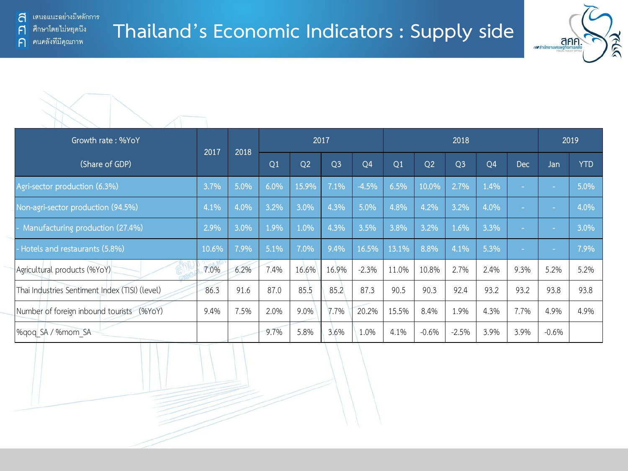



| Growth rate: %YoY                              |       |      |      | 2017           |                |                |       |         | 2018           |                |            |         | 2019       |  |
|------------------------------------------------|-------|------|------|----------------|----------------|----------------|-------|---------|----------------|----------------|------------|---------|------------|--|
| (Share of GDP)                                 | 2017  | 2018 | Q1   | Q <sub>2</sub> | Q <sub>3</sub> | Q <sub>4</sub> | Q1    | Q2      | Q <sub>3</sub> | Q <sub>4</sub> | <b>Dec</b> | Jan     | <b>YTD</b> |  |
| Agri-sector production (6.3%)                  | 3.7%  | 5.0% | 6.0% | 15.9%          | 7.1%           | $-4.5%$        | 6.5%  | 10.0%   | 2.7%           | 1.4%           |            | $\sim$  | 5.0%       |  |
| Non-agri-sector production (94.5%)             | 4.1%  | 4.0% | 3.2% | 3.0%           | 4.3%           | 5.0%           | 4.8%  | 4.2%    | 3.2%           | 4.0%           |            | $\sim$  | 4.0%       |  |
| Manufacturing production (27.4%)               | 2.9%  | 3.0% | 1.9% | 1.0%           | 4.3%           | 3.5%           | 3.8%  | 3.2%    | 1.6%           | 3.3%           |            | $\sim$  | 3.0%       |  |
| - Hotels and restaurants (5.8%)                | 10.6% | 7.9% | 5.1% | 7.0%           | 9.4%           | 16.5%          | 13.1% | 8.8%    | 4.1%           | 5.3%           |            | $\sim$  | 7.9%       |  |
| Agricultural products (%YoY)                   | 7.0%  | 6.2% | 7.4% | 16.6%          | 16.9%          | $-2.3%$        | 11.0% | 10.8%   | 2.7%           | 2.4%           | 9.3%       | 5.2%    | 5.2%       |  |
| Thai Industries Sentiment Index (TISI) (level) | 86.3  | 91.6 | 87.0 | 85.5           | 85.2           | 87.3           | 90.5  | 90.3    | 92.4           | 93.2           | 93.2       | 93.8    | 93.8       |  |
| Number of foreign inbound tourists (%YoY)      | 9.4%  | 7.5% | 2.0% | 9.0%           | 7.7%           | 20.2%          | 15.5% | 8.4%    | 1.9%           | 4.3%           | 7.7%       | 4.9%    | 4.9%       |  |
| %qoq SA / %mom SA                              |       |      | 9.7% | 5.8%           | 3.6%           | 1.0%           | 4.1%  | $-0.6%$ | $-2.5%$        | 3.9%           | 3.9%       | $-0.6%$ |            |  |